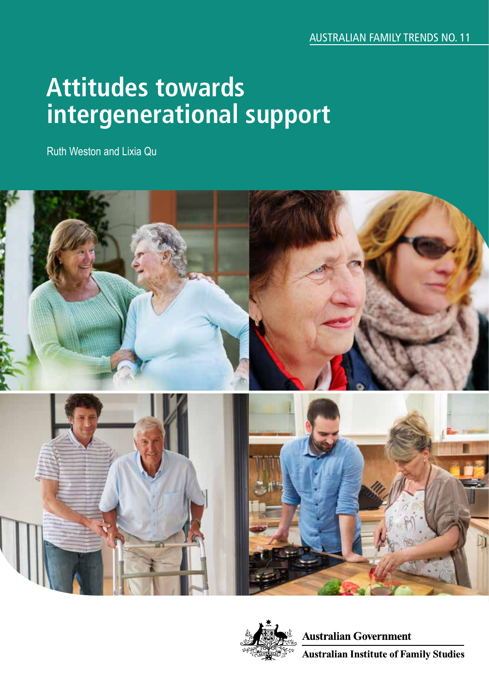# **Attitudes towards intergenerational support**

Ruth Weston and Lixia Qu





**Australian Government Australian Institute of Family Studies**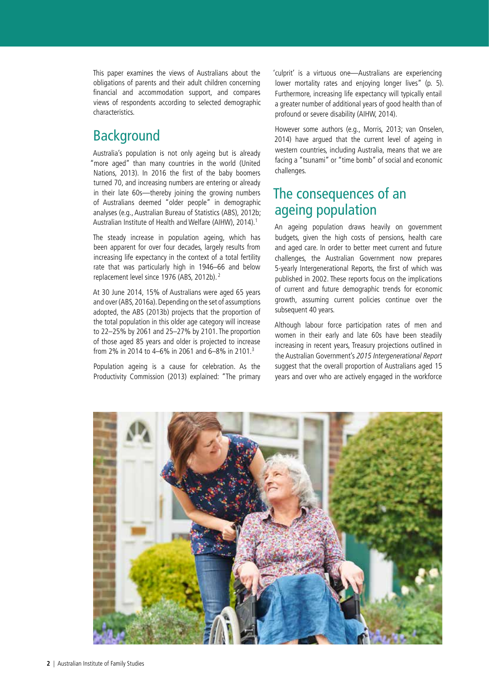This paper examines the views of Australians about the obligations of parents and their adult children concerning financial and accommodation support, and compares views of respondents according to selected demographic characteristics.

# Background

Australia's population is not only ageing but is already "more aged" than many countries in the world (United Nations, 2013). In 2016 the first of the baby boomers turned 70, and increasing numbers are entering or already in their late 60s—thereby joining the growing numbers of Australians deemed "older people" in demographic analyses (e.g., Australian Bureau of Statistics (ABS), 2012b; Australian Institute of Health and Welfare (AIHW), 2014).1

The steady increase in population ageing, which has been apparent for over four decades, largely results from increasing life expectancy in the context of a total fertility rate that was particularly high in 1946–66 and below replacement level since 1976 (ABS, 2012b). 2

At 30 June 2014, 15% of Australians were aged 65 years and over (ABS, 2016a). Depending on the set of assumptions adopted, the ABS (2013b) projects that the proportion of the total population in this older age category will increase to 22–25% by 2061 and 25–27% by 2101. The proportion of those aged 85 years and older is projected to increase from 2% in 2014 to 4–6% in 2061 and 6–8% in 2101.3

Population ageing is a cause for celebration. As the Productivity Commission (2013) explained: "The primary 'culprit' is a virtuous one—Australians are experiencing lower mortality rates and enjoying longer lives" (p. 5). Furthermore, increasing life expectancy will typically entail a greater number of additional years of good health than of profound or severe disability (AIHW, 2014).

However some authors (e.g., Morris, 2013; van Onselen, 2014) have argued that the current level of ageing in western countries, including Australia, means that we are facing a "tsunami" or "time bomb" of social and economic challenges.

# The consequences of an ageing population

An ageing population draws heavily on government budgets, given the high costs of pensions, health care and aged care. In order to better meet current and future challenges, the Australian Government now prepares 5-yearly Intergenerational Reports, the first of which was published in 2002. These reports focus on the implications of current and future demographic trends for economic growth, assuming current policies continue over the subsequent 40 years.

Although labour force participation rates of men and women in their early and late 60s have been steadily increasing in recent years, Treasury projections outlined in the Australian Government's 2015 Intergenerational Report suggest that the overall proportion of Australians aged 15 years and over who are actively engaged in the workforce

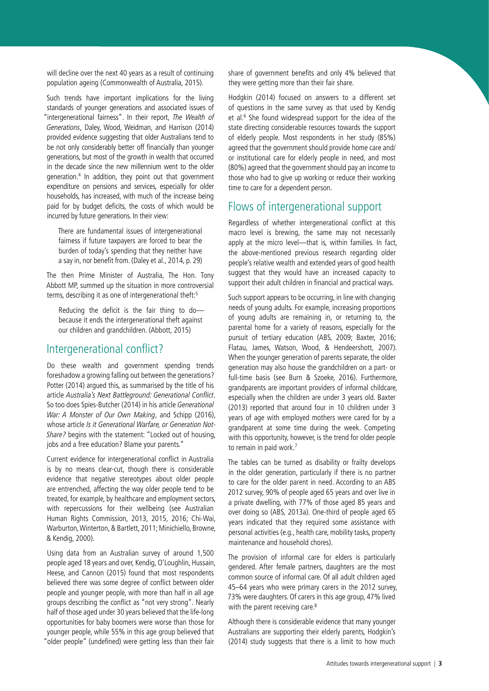will decline over the next 40 years as a result of continuing population ageing (Commonwealth of Australia, 2015).

Such trends have important implications for the living standards of younger generations and associated issues of "intergenerational fairness". In their report, The Wealth of Generations, Daley, Wood, Weidman, and Harrison (2014) provided evidence suggesting that older Australians tend to be not only considerably better off financially than younger generations, but most of the growth in wealth that occurred in the decade since the new millennium went to the older generation.4 In addition, they point out that government expenditure on pensions and services, especially for older households, has increased, with much of the increase being paid for by budget deficits, the costs of which would be incurred by future generations. In their view:

There are fundamental issues of intergenerational fairness if future taxpayers are forced to bear the burden of today's spending that they neither have a say in, nor benefit from. (Daley et al., 2014, p. 29)

The then Prime Minister of Australia, The Hon. Tony Abbott MP, summed up the situation in more controversial terms, describing it as one of intergenerational theft:5

Reducing the deficit is the fair thing to do because it ends the intergenerational theft against our children and grandchildren. (Abbott, 2015)

### Intergenerational conflict?

Do these wealth and government spending trends foreshadow a growing falling out between the generations? Potter (2014) argued this, as summarised by the title of his article Australia's Next Battleground: Generational Conflict. So too does Spies-Butcher (2014) in his article Generational War: A Monster of Our Own Making, and Schipp (2016). whose article Is it Generational Warfare, or Generation Not-Share? begins with the statement: "Locked out of housing, jobs and a free education? Blame your parents."

Current evidence for intergenerational conflict in Australia is by no means clear-cut, though there is considerable evidence that negative stereotypes about older people are entrenched, affecting the way older people tend to be treated, for example, by healthcare and employment sectors, with repercussions for their wellbeing (see Australian Human Rights Commission, 2013, 2015, 2016; Chi-Wai, Warburton, Winterton, & Bartlett, 2011; Minichiello, Browne, & Kendig, 2000).

Using data from an Australian survey of around 1,500 people aged 18 years and over, Kendig, O'Loughlin, Hussain, Heese, and Cannon (2015) found that most respondents believed there was some degree of conflict between older people and younger people, with more than half in all age groups describing the conflict as "not very strong". Nearly half of those aged under 30 years believed that the life-long opportunities for baby boomers were worse than those for younger people, while 55% in this age group believed that "older people" (undefined) were getting less than their fair

share of government benefits and only 4% believed that they were getting more than their fair share.

Hodgkin (2014) focused on answers to a different set of questions in the same survey as that used by Kendig et al.<sup>6</sup> She found widespread support for the idea of the state directing considerable resources towards the support of elderly people. Most respondents in her study (85%) agreed that the government should provide home care and/ or institutional care for elderly people in need, and most (80%) agreed that the government should pay an income to those who had to give up working or reduce their working time to care for a dependent person.

# Flows of intergenerational support

Regardless of whether intergenerational conflict at this macro level is brewing, the same may not necessarily apply at the micro level—that is, within families. In fact, the above-mentioned previous research regarding older people's relative wealth and extended years of good health suggest that they would have an increased capacity to support their adult children in financial and practical ways.

Such support appears to be occurring, in line with changing needs of young adults. For example, increasing proportions of young adults are remaining in, or returning to, the parental home for a variety of reasons, especially for the pursuit of tertiary education (ABS, 2009; Baxter, 2016; Flatau, James, Watson, Wood, & Hendeershott, 2007). When the younger generation of parents separate, the older generation may also house the grandchildren on a part- or full-time basis (see Burn & Szoeke, 2016). Furthermore, grandparents are important providers of informal childcare, especially when the children are under 3 years old. Baxter (2013) reported that around four in 10 children under 3 years of age with employed mothers were cared for by a grandparent at some time during the week. Competing with this opportunity, however, is the trend for older people to remain in paid work.<sup>7</sup>

The tables can be turned as disability or frailty develops in the older generation, particularly if there is no partner to care for the older parent in need. According to an ABS 2012 survey, 90% of people aged 65 years and over live in a private dwelling, with 77% of those aged 85 years and over doing so (ABS, 2013a). One-third of people aged 65 years indicated that they required some assistance with personal activities (e.g., health care, mobility tasks, property maintenance and household chores).

The provision of informal care for elders is particularly gendered. After female partners, daughters are the most common source of informal care. Of all adult children aged 45–64 years who were primary carers in the 2012 survey, 73% were daughters. Of carers in this age group, 47% lived with the parent receiving care.<sup>8</sup>

Although there is considerable evidence that many younger Australians are supporting their elderly parents, Hodgkin's (2014) study suggests that there is a limit to how much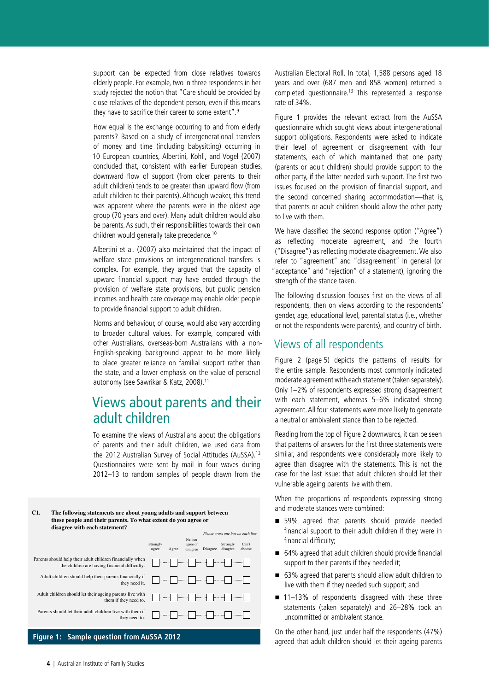support can be expected from close relatives towards elderly people. For example, two in three respondents in her study rejected the notion that "Care should be provided by close relatives of the dependent person, even if this means they have to sacrifice their career to some extent".9

How equal is the exchange occurring to and from elderly parents? Based on a study of intergenerational transfers of money and time (including babysitting) occurring in 10 European countries, Albertini, Kohli, and Vogel (2007) concluded that, consistent with earlier European studies, downward flow of support (from older parents to their adult children) tends to be greater than upward flow (from adult children to their parents). Although weaker, this trend was apparent where the parents were in the oldest age group (70 years and over). Many adult children would also be parents. As such, their responsibilities towards their own children would generally take precedence.10

Albertini et al. (2007) also maintained that the impact of welfare state provisions on intergenerational transfers is complex. For example, they argued that the capacity of upward financial support may have eroded through the provision of welfare state provisions, but public pension incomes and health care coverage may enable older people to provide financial support to adult children.

Norms and behaviour, of course, would also vary according to broader cultural values. For example, compared with other Australians, overseas-born Australians with a non-English-speaking background appear to be more likely to place greater reliance on familial support rather than the state, and a lower emphasis on the value of personal autonomy (see Sawrikar & Katz, 2008).<sup>11</sup>

#### **Views about parents and their B2. Children** and ult children **the paid of the paid for children and the paid for children and the set of the set of the set of the set of the set of the set of the set of the set of the set of the set of the set of the set of the set of the set of the** parcrits and t

To examine the views of Australians about the obligations of parents and their adult children, we used data from the 2012 Australian Survey of Social Attitudes (AuSSA).<sup>12</sup> Questionnaires were sent by mail in four waves during 2012-13 to random samples of people drawn from the **C1. The following statements are about young adults and support between**

#### C1. The following statements are about young adults and support between these people and their parents. To what extent do you agree or disagree with each statement?

|                                                                                                            | Please cross one box on each line                                                                                                                                                                                                                                                                                                                   |
|------------------------------------------------------------------------------------------------------------|-----------------------------------------------------------------------------------------------------------------------------------------------------------------------------------------------------------------------------------------------------------------------------------------------------------------------------------------------------|
|                                                                                                            | Neither<br>Strongly<br>Strongly<br>Can't<br>agree or<br><b>Disagree</b><br>disagree<br>choose<br>Agree<br>disagree<br>agree                                                                                                                                                                                                                         |
| Parents should help their adult children financially when<br>the children are having financial difficulty. |                                                                                                                                                                                                                                                                                                                                                     |
| Adult children should help their parents financially if<br>they need it.                                   | $\begin{picture}(10,10) \put(0,0){\line(1,0){10}} \put(10,0){\line(1,0){10}} \put(10,0){\line(1,0){10}} \put(10,0){\line(1,0){10}} \put(10,0){\line(1,0){10}} \put(10,0){\line(1,0){10}} \put(10,0){\line(1,0){10}} \put(10,0){\line(1,0){10}} \put(10,0){\line(1,0){10}} \put(10,0){\line(1,0){10}} \put(10,0){\line(1,0){10}} \put(10,0){\line(1$ |
| Adult children should let their ageing parents live with<br>them if they need to.                          |                                                                                                                                                                                                                                                                                                                                                     |
| Parents should let their adult children live with them if<br>they need to.                                 |                                                                                                                                                                                                                                                                                                                                                     |
|                                                                                                            |                                                                                                                                                                                                                                                                                                                                                     |
|                                                                                                            |                                                                                                                                                                                                                                                                                                                                                     |

#### **Figure 1: Sample question from AuSSA 2012 statement?**

Australian Electoral Roll. In total, 1,588 persons aged 18 years and over (687 men and 858 women) returned a completed questionnaire.13 This represented a response rate of 34%.

Figure 1 provides the relevant extract from the AuSSA questionnaire which sought views about intergenerational support obligations. Respondents were asked to indicate their level of agreement or disagreement with four statements, each of which maintained that one party (parents or adult children) should provide support to the other party, if the latter needed such support. The first two issues focused on the provision of financial support, and the second concerned sharing accommodation—that is, that parents or adult children should allow the other party to live with them.

We have classified the second response option ("Agree") as reflecting moderate agreement, and the fourth ("Disagree") as reflecting moderate disagreement. We also refer to "agreement" and "disagreement" in general (or "acceptance" and "rejection" of a statement), ignoring the strength of the stance taken.

The following discussion focuses first on the views of all respondents, then on views according to the respondents' gender, age, educational level, parental status (i.e., whether or not the respondents were parents), and country of birth.

### Views of all respondents

Figure 2 ([page](#page-4-0) 5) depicts the patterns of results for the entire sample. Respondents most commonly indicated moderate agreement with each statement (taken separately). Only 1–2% of respondents expressed strong disagreement with each statement, whereas 5–6% indicated strong agreement. All four statements were more likely to generate a neutral or ambivalent stance than to be rejected.

Reading from the top of Figure 2 downwards, it can be seen that patterns of answers for the first three statements were similar, and respondents were considerably more likely to agree than disagree with the statements. This is not the case for the last issue: that adult children should let their vulnerable ageing parents live with them.

When the proportions of respondents expressing strong and moderate stances were combined:

- 59% agreed that parents should provide needed financial support to their adult children if they were in financial difficulty;
- 64% agreed that adult children should provide financial support to their parents if they needed it;
- 63% agreed that parents should allow adult children to live with them if they needed such support; and
- 11–13% of respondents disagreed with these three statements (taken separately) and 26–28% took an uncommitted or ambivalent stance.

On the other hand, just under half the respondents (47%) agreed that adult children should let their ageing parents

Parents should let their adult children live with them if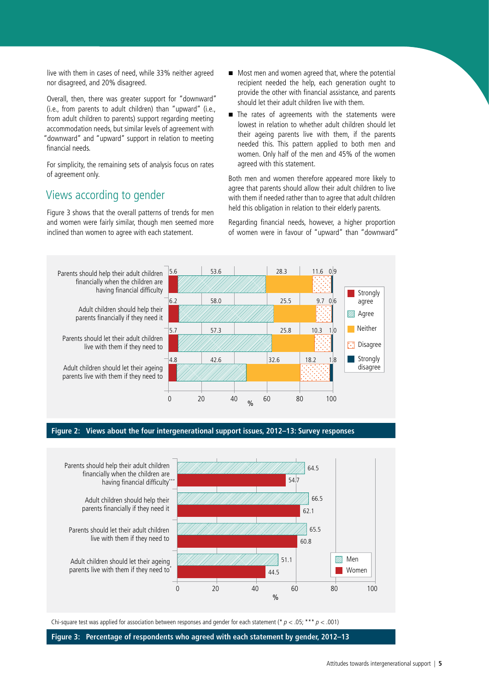live with them in cases of need, while 33% neither agreed nor disagreed, and 20% disagreed.

Overall, then, there was greater support for "downward" (i.e., from parents to adult children) than "upward" (i.e., from adult children to parents) support regarding meeting accommodation needs, but similar levels of agreement with "downward" and "upward" support in relation to meeting financial needs.

For simplicity, the remaining sets of analysis focus on rates of agreement only.

# Views according to gender

Figure 3 shows that the overall patterns of trends for men and women were fairly similar, though men seemed more inclined than women to agree with each statement.

- Most men and women agreed that, where the potential recipient needed the help, each generation ought to provide the other with financial assistance, and parents should let their adult children live with them.
- The rates of agreements with the statements were lowest in relation to whether adult children should let their ageing parents live with them, if the parents needed this. This pattern applied to both men and women. Only half of the men and 45% of the women agreed with this statement.

Both men and women therefore appeared more likely to agree that parents should allow their adult children to live with them if needed rather than to agree that adult children held this obligation in relation to their elderly parents.

Regarding financial needs, however, a higher proportion of women were in favour of "upward" than "downward"



#### <span id="page-4-0"></span>**Figure 2: Views about the four intergenerational support issues, 2012–13: Survey responses**



Chi-square test was applied for association between responses and gender for each statement (\*  $p < .05$ ; \*\*\*  $p < .001$ )

**Figure 3: Percentage of respondents who agreed with each statement by gender, 2012–13**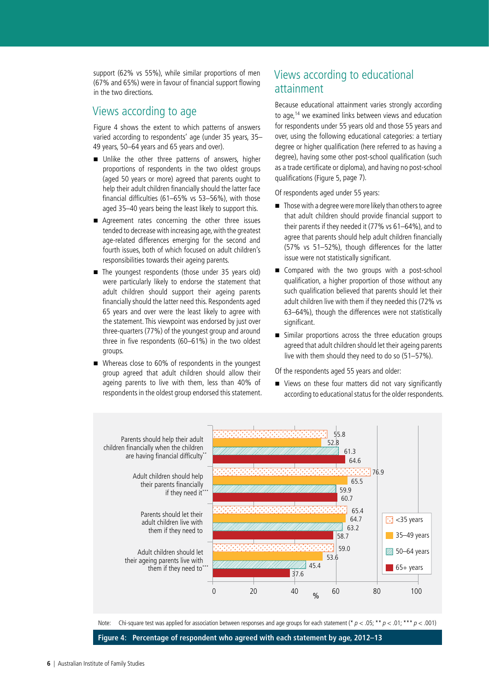support (62% vs 55%), while similar proportions of men (67% and 65%) were in favour of financial support flowing in the two directions.

### Views according to age

Figure 4 shows the extent to which patterns of answers varied according to respondents' age (under 35 years, 35– 49 years, 50–64 years and 65 years and over).

- Unlike the other three patterns of answers, higher proportions of respondents in the two oldest groups (aged 50 years or more) agreed that parents ought to help their adult children financially should the latter face financial difficulties (61–65% vs 53–56%), with those aged 35–40 years being the least likely to support this.
- Agreement rates concerning the other three issues tended to decrease with increasing age, with the greatest age-related differences emerging for the second and fourth issues, both of which focused on adult children's responsibilities towards their ageing parents.
- The youngest respondents (those under 35 years old) were particularly likely to endorse the statement that adult children should support their ageing parents financially should the latter need this. Respondents aged 65 years and over were the least likely to agree with the statement. This viewpoint was endorsed by just over three-quarters (77%) of the youngest group and around three in five respondents (60–61%) in the two oldest groups.
- Whereas close to 60% of respondents in the youngest group agreed that adult children should allow their ageing parents to live with them, less than 40% of respondents in the oldest group endorsed this statement.

# Views according to educational attainment

Because educational attainment varies strongly according to age,<sup>14</sup> we examined links between views and education for respondents under 55 years old and those 55 years and over, using the following educational categories: a tertiary degree or higher qualification (here referred to as having a degree), having some other post-school qualification (such as a trade certificate or diploma), and having no post-school qualifications (Figure 5, [page](#page-6-0) 7).

Of respondents aged under 55 years:

- Those with a degree were more likely than others to agree that adult children should provide financial support to their parents if they needed it (77% vs 61–64%), and to agree that parents should help adult children financially (57% vs 51–52%), though differences for the latter issue were not statistically significant.
- Compared with the two groups with a post-school qualification, a higher proportion of those without any such qualification believed that parents should let their adult children live with them if they needed this (72% vs 63–64%), though the differences were not statistically significant.
- Similar proportions across the three education groups agreed that adult children should let their ageing parents live with them should they need to do so (51–57%).

Of the respondents aged 55 years and older:

■ Views on these four matters did not vary significantly according to educational status for the older respondents.



**Figure 4: Percentage of respondent who agreed with each statement by age, 2012–13**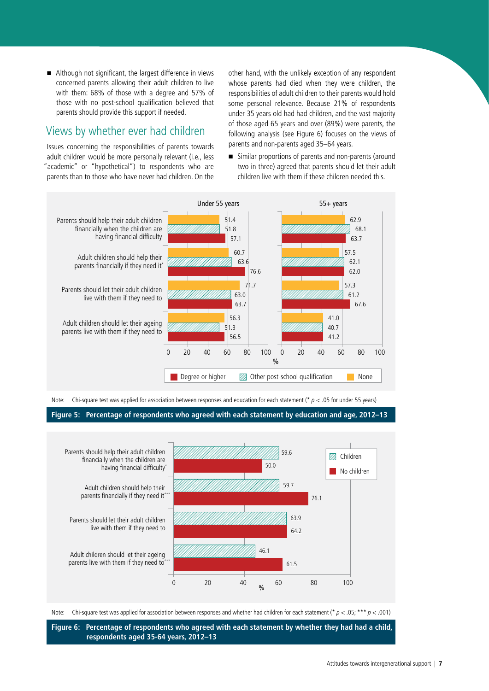Although not significant, the largest difference in views concerned parents allowing their adult children to live with them: 68% of those with a degree and 57% of those with no post-school qualification believed that parents should provide this support if needed.

# Views by whether ever had children

Issues concerning the responsibilities of parents towards adult children would be more personally relevant (i.e., less "academic" or "hypothetical") to respondents who are parents than to those who have never had children. On the other hand, with the unlikely exception of any respondent whose parents had died when they were children, the responsibilities of adult children to their parents would hold some personal relevance. Because 21% of respondents under 35 years old had had children, and the vast majority of those aged 65 years and over (89%) were parents, the following analysis (see Figure 6) focuses on the views of parents and non-parents aged 35–64 years.

 Similar proportions of parents and non-parents (around two in three) agreed that parents should let their adult children live with them if these children needed this.



Note: Chi-square test was applied for association between responses and education for each statement (\*  $p < .05$  for under 55 years)

<span id="page-6-0"></span>**Figure 5: Percentage of respondents who agreed with each statement by education and age, 2012–13**



Note: Chi-square test was applied for association between responses and whether had children for each statement (\*  $p < .05$ ; \*\*\*  $p < .001$ )

**Figure 6: Percentage of respondents who agreed with each statement by whether they had had a child, respondents aged 35-64 years, 2012–13**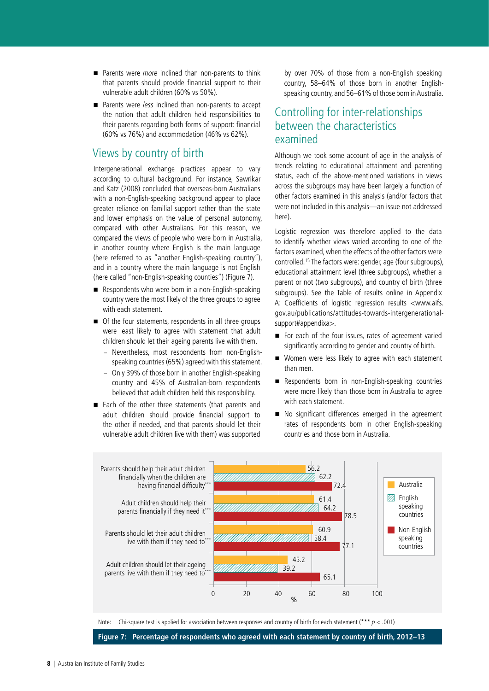- Parents were *more* inclined than non-parents to think that parents should provide financial support to their vulnerable adult children (60% vs 50%).
- Parents were less inclined than non-parents to accept the notion that adult children held responsibilities to their parents regarding both forms of support: financial (60% vs 76%) and accommodation (46% vs 62%).

### Views by country of birth

Intergenerational exchange practices appear to vary according to cultural background. For instance, Sawrikar and Katz (2008) concluded that overseas-born Australians with a non-English-speaking background appear to place greater reliance on familial support rather than the state and lower emphasis on the value of personal autonomy, compared with other Australians. For this reason, we compared the views of people who were born in Australia, in another country where English is the main language (here referred to as "another English-speaking country"), and in a country where the main language is not English (here called "non-English-speaking counties") (Figure 7).

- Respondents who were born in a non-English-speaking country were the most likely of the three groups to agree with each statement.
- Of the four statements, respondents in all three groups were least likely to agree with statement that adult children should let their ageing parents live with them.
	- Nevertheless, most respondents from non-Englishspeaking countries (65%) agreed with this statement.
	- Only 39% of those born in another English-speaking country and 45% of Australian-born respondents believed that adult children held this responsibility.
- Each of the other three statements (that parents and adult children should provide financial support to the other if needed, and that parents should let their vulnerable adult children live with them) was supported

by over 70% of those from a non-English speaking country, 58–64% of those born in another Englishspeaking country, and 56–61% of those born in Australia.

### Controlling for inter-relationships between the characteristics examined

Although we took some account of age in the analysis of trends relating to educational attainment and parenting status, each of the above-mentioned variations in views across the subgroups may have been largely a function of other factors examined in this analysis (and/or factors that were not included in this analysis—an issue not addressed here).

Logistic regression was therefore applied to the data to identify whether views varied according to one of the factors examined, when the effects of the other factors were controlled.15 The factors were: gender, age (four subgroups), educational attainment level (three subgroups), whether a parent or not (two subgroups), and country of birth (three subgroups). See the Table of results online in Appendix A: Coefficients of logistic regression results <www.aifs. gov.au/publications/attitudes-towards-intergenerationalsupport#appendixa>.

- For each of the four issues, rates of agreement varied significantly according to gender and country of birth.
- Women were less likely to agree with each statement than men.
- Respondents born in non-English-speaking countries were more likely than those born in Australia to agree with each statement.
- No significant differences emerged in the agreement rates of respondents born in other English-speaking countries and those born in Australia.



Note: Chi-square test is applied for association between responses and country of birth for each statement (\*\*\*  $p < .001$ )

**Figure 7: Percentage of respondents who agreed with each statement by country of birth, 2012–13**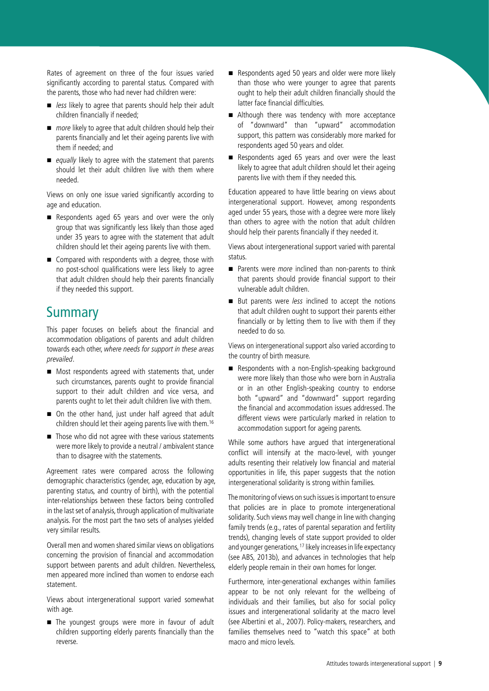Rates of agreement on three of the four issues varied significantly according to parental status. Compared with the parents, those who had never had children were:

- $\blacksquare$  less likely to agree that parents should help their adult children financially if needed;
- $\blacksquare$  more likely to agree that adult children should help their parents financially and let their ageing parents live with them if needed; and
- equally likely to agree with the statement that parents should let their adult children live with them where needed.

Views on only one issue varied significantly according to age and education.

- Respondents aged 65 years and over were the only group that was significantly less likely than those aged under 35 years to agree with the statement that adult children should let their ageing parents live with them.
- Compared with respondents with a degree, those with no post-school qualifications were less likely to agree that adult children should help their parents financially if they needed this support.

# **Summary**

This paper focuses on beliefs about the financial and accommodation obligations of parents and adult children towards each other, where needs for support in these areas prevailed.

- Most respondents agreed with statements that, under such circumstances, parents ought to provide financial support to their adult children and vice versa, and parents ought to let their adult children live with them.
- On the other hand, just under half agreed that adult children should let their ageing parents live with them.16
- Those who did not agree with these various statements were more likely to provide a neutral / ambivalent stance than to disagree with the statements.

Agreement rates were compared across the following demographic characteristics (gender, age, education by age, parenting status, and country of birth), with the potential inter-relationships between these factors being controlled in the last set of analysis, through application of multivariate analysis. For the most part the two sets of analyses yielded very similar results.

Overall men and women shared similar views on obligations concerning the provision of financial and accommodation support between parents and adult children. Nevertheless, men appeared more inclined than women to endorse each statement.

Views about intergenerational support varied somewhat with age.

The youngest groups were more in favour of adult children supporting elderly parents financially than the reverse.

- Respondents aged 50 years and older were more likely than those who were younger to agree that parents ought to help their adult children financially should the latter face financial difficulties.
- Although there was tendency with more acceptance of "downward" than "upward" accommodation support, this pattern was considerably more marked for respondents aged 50 years and older.
- Respondents aged 65 years and over were the least likely to agree that adult children should let their ageing parents live with them if they needed this.

Education appeared to have little bearing on views about intergenerational support. However, among respondents aged under 55 years, those with a degree were more likely than others to agree with the notion that adult children should help their parents financially if they needed it.

Views about intergenerational support varied with parental status.

- Parents were *more* inclined than non-parents to think that parents should provide financial support to their vulnerable adult children.
- But parents were *less* inclined to accept the notions that adult children ought to support their parents either financially or by letting them to live with them if they needed to do so.

Views on intergenerational support also varied according to the country of birth measure.

Respondents with a non-English-speaking background were more likely than those who were born in Australia or in an other English-speaking country to endorse both "upward" and "downward" support regarding the financial and accommodation issues addressed. The different views were particularly marked in relation to accommodation support for ageing parents.

While some authors have argued that intergenerational conflict will intensify at the macro-level, with younger adults resenting their relatively low financial and material opportunities in life, this paper suggests that the notion intergenerational solidarity is strong within families.

The monitoring of views on such issues is important to ensure that policies are in place to promote intergenerational solidarity. Such views may well change in line with changing family trends (e.g., rates of parental separation and fertility trends), changing levels of state support provided to older and younger generations, <sup>17</sup> likely increases in life expectancy (see ABS, 2013b), and advances in technologies that help elderly people remain in their own homes for longer.

Furthermore, inter-generational exchanges within families appear to be not only relevant for the wellbeing of individuals and their families, but also for social policy issues and intergenerational solidarity at the macro level (see Albertini et al., 2007). Policy-makers, researchers, and families themselves need to "watch this space" at both macro and micro levels.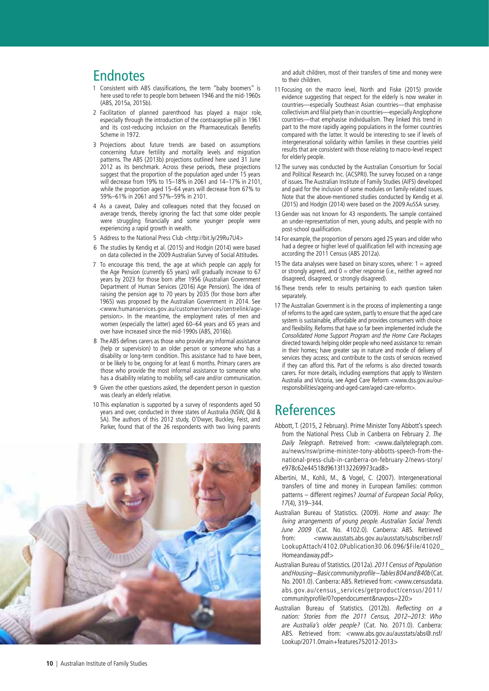# **Endnotes**

- 1 Consistent with ABS classifications, the term "baby boomers" is here used to refer to people born between 1946 and the mid-1960s (ABS, 2015a, 2015b).
- 2 Facilitation of planned parenthood has played a major role, especially through the introduction of the contraceptive pill in 1961 and its cost-reducing inclusion on the Pharmaceuticals Benefits Scheme in 1972.
- 3 Projections about future trends are based on assumptions concerning future fertility and mortality levels and migration patterns. The ABS (2013b) projections outlined here used 31 June 2012 as its benchmark. Across these periods, these projections suggest that the proportion of the population aged under 15 years will decrease from 19% to 15–18% in 2061 and 14–17% in 2101, while the proportion aged 15–64 years will decrease from 67% to 59%–61% in 2061 and 57%–59% in 2101.
- 4 As a caveat, Daley and colleagues noted that they focused on average trends, thereby ignoring the fact that some older people were struggling financially and some younger people were experiencing a rapid growth in wealth.
- 5 Address to the National Press Club <http://bit.ly/29Ru7U4>
- 6 The studies by Kendig et al. (2015) and Hodgin (2014) were based on data collected in the 2009 Australian Survey of Social Attitudes.
- 7 To encourage this trend, the age at which people can apply for the Age Pension (currently 65 years) will gradually increase to 67 years by 2023 for those born after 1956 (Australian Government Department of Human Services (2016) Age Pension). The idea of raising the pension age to 70 years by 2035 (for those born after 1965) was proposed by the Australian Government in 2014. See [<www.humanservices.gov.au/customer/services/centrelink/age](https://www.humanservices.gov.au/customer/services/centrelink/age-pension))[pension](https://www.humanservices.gov.au/customer/services/centrelink/age-pension))>. In the meantime, the employment rates of men and women (especially the latter) aged 60–64 years and 65 years and over have increased since the mid-1990s (ABS, 2016b).
- 8 The ABS defines carers as those who provide any informal assistance (help or supervision) to an older person or someone who has a disability or long-term condition. This assistance had to have been, or be likely to be, ongoing for at least 6 months. Primary carers are those who provide the most informal assistance to someone who has a disability relating to mobility, self-care and/or communication.
- 9 Given the other questions asked, the dependent person in question was clearly an elderly relative.
- 10 This explanation is supported by a survey of respondents aged 50 years and over, conducted in three states of Australia (NSW, Qld & SA). The authors of this 2012 study, O'Dwyer, Buckley, Feist, and Parker, found that of the 26 respondents with two living parents



and adult children, most of their transfers of time and money were to their children.

- 11 Focusing on the macro level, North and Fiske (2015) provide evidence suggesting that respect for the elderly is now weaker in countries—especially Southeast Asian countries—that emphasise collectivism and filial piety than in countries—especially Anglophone countries—that emphasise individualism. They linked this trend in part to the more rapidly ageing populations in the former countries compared with the latter. It would be interesting to see if levels of intergenerational solidarity within families in these countries yield results that are consistent with those relating to macro-level respect for elderly people.
- 12 The survey was conducted by the Australian Consortium for Social and Political Research Inc. (ACSPRI).The survey focused on a range of issues. The Australian Institute of Family Studies (AIFS) developed and paid for the inclusion of some modules on family-related issues. Note that the above-mentioned studies conducted by Kendig et al. (2015) and Hodgin (2014) were based on the 2009 AuSSA survey.
- 13 Gender was not known for 43 respondents. The sample contained an under-representation of men, young adults, and people with no post-school qualification.
- 14 For example, the proportion of persons aged 25 years and older who had a degree or higher level of qualification fell with increasing age according the 2011 Census (ABS 2012a).
- 15 The data analyses were based on binary scores, where:  $1 =$  agreed or strongly agreed, and  $0 =$  other response (i.e., neither agreed nor disagreed, disagreed, or strongly disagreed).
- 16 These trends refer to results pertaining to each question taken separately.
- 17 The Australian Government is in the process of implementing a range of reforms to the aged care system, partly to ensure that the aged care system is sustainable, affordable and provides consumers with choice and flexibility. Reforms that have so far been implemented include the Consolidated Home Support Program and the Home Care Packages directed towards helping older people who need assistance to: remain in their homes; have greater say in nature and mode of delivery of services they access; and contribute to the costs of services received if they can afford this. Part of the reforms is also directed towards carers. For more details, including exemptions that apply to Western Australia and Victoria, see Aged Care Reform [<www.dss.gov.au/our](https://www.dss.gov.au/our-responsibilities/ageing-and-aged-care/aged-care-reform)[responsibilities/ageing-and-aged-care/aged-care-reform>](https://www.dss.gov.au/our-responsibilities/ageing-and-aged-care/aged-care-reform).

# **References**

- Abbott, T. (2015, 2 February). Prime Minister Tony Abbott's speech from the National Press Club in Canberra on February 2. The Daily Telegraph. Retreived from: <www.dailytelegraph.com. au/news/nsw/prime-minister-tony-abbotts-speech-from-thenational-press-club-in-canberra-on-february-2/news-story/ e978c62e44518d9613f132269973cad8>
- Albertini, M., Kohli, M., & Vogel, C. (2007). Intergenerational transfers of time and money in European families: common patterns – different regimes? Journal of European Social Policy, 17(4), 319–344.
- Australian Bureau of Statistics. (2009). Home and away: The living arrangements of young people. Australian Social Trends June 2009 (Cat. No. 4102.0). Canberra: ABS. Retrieved from: [<www.ausstats.abs.gov.au/ausstats/subscriber.nsf/](http://www.ausstats.abs.gov.au/ausstats/subscriber.nsf/LookupAttach/4102.0Publication30.06.096/$File/41020_Homeandaway.pdf) [LookupAttach/4102.0Publication30.06.096/\\$File/41020\\_](http://www.ausstats.abs.gov.au/ausstats/subscriber.nsf/LookupAttach/4102.0Publication30.06.096/$File/41020_Homeandaway.pdf) [Homeandaway.pdf](http://www.ausstats.abs.gov.au/ausstats/subscriber.nsf/LookupAttach/4102.0Publication30.06.096/$File/41020_Homeandaway.pdf)>
- Australian Bureau of Statistics. (2012a). 2011 Census of Population and Housing – Basic community profile – Tables B04 and B40b (Cat. No. 2001.0). Canberra: ABS. Retrieved from: <www.censusdata. abs.gov.au/census\_services/getproduct/census/2011/ communityprofile/0?opendocument&navpos=220>
- Australian Bureau of Statistics. (2012b). Reflecting on a nation: Stories from the 2011 Census, 2012–2013: Who are Australia's older people? (Cat. No. 2071.0). Canberra: ABS. Retrieved from: <[www.abs.gov.au/ausstats/abs@.nsf/](http://www.abs.gov.au/ausstats/abs@.nsf/Lookup/2071.0main+features752012-2013) [Lookup/2071.0main+features752012-2013](http://www.abs.gov.au/ausstats/abs@.nsf/Lookup/2071.0main+features752012-2013)>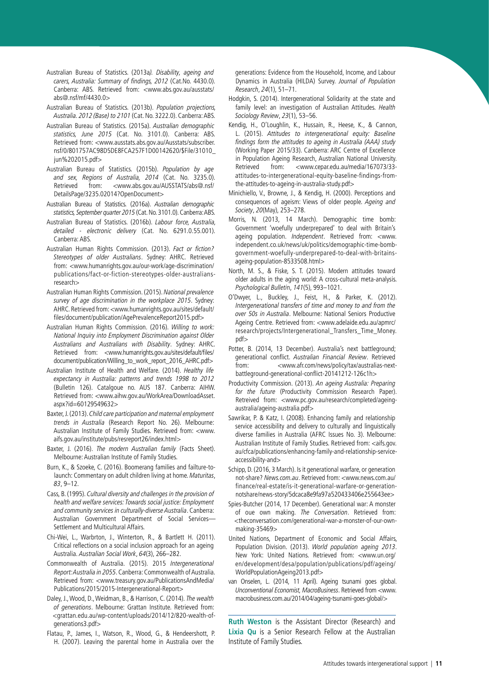Australian Bureau of Statistics. (2013a). Disability, ageing and carers, Australia: Summary of findings, 2012 (Cat.No. 4430.0). Canberra: ABS. Retrieved from: <[www.abs.gov.au/ausstats/](http://www.abs.gov.au/ausstats/abs@.nsf/mf/4430.0) [abs@.nsf/mf/4430.0>](http://www.abs.gov.au/ausstats/abs@.nsf/mf/4430.0)

Australian Bureau of Statistics. (2013b). Population projections, Australia. 2012 (Base) to 2101 (Cat. No. 3222.0). Canberra: ABS.

- Australian Bureau of Statistics. (2015a). Australian demographic statistics, June 2015 (Cat. No. 3101.0). Canberra: ABS. Retrieved from: [<www.ausstats.abs.gov.au/Ausstats/subscriber.](http://www.ausstats.abs.gov.au/Ausstats/subscriber.nsf/0/801757AC98D5DE8FCA257F1D00142620/$File/31010_jun%202015.pdf) [nsf/0/801757AC98D5DE8FCA257F1D00142620/\\$File/31010\\_](http://www.ausstats.abs.gov.au/Ausstats/subscriber.nsf/0/801757AC98D5DE8FCA257F1D00142620/$File/31010_jun%202015.pdf) [jun%202015.pdf>](http://www.ausstats.abs.gov.au/Ausstats/subscriber.nsf/0/801757AC98D5DE8FCA257F1D00142620/$File/31010_jun%202015.pdf)
- Australian Bureau of Statistics. (2015b). Population by age and sex, Regions of Australia, 2014 (Cat. No. 3235.0). Retrieved from: <[www.abs.gov.au/AUSSTATS/abs@.nsf/](http://www.abs.gov.au/AUSSTATS/abs@.nsf/DetailsPage/3235.02014?OpenDocument) [DetailsPage/3235.02014?OpenDocument](http://www.abs.gov.au/AUSSTATS/abs@.nsf/DetailsPage/3235.02014?OpenDocument)>
- Australian Bureau of Statistics. (2016a). Australian demographic statistics, September quarter 2015 (Cat. No. 3101.0). Canberra: ABS.
- Australian Bureau of Statistics. (2016b). Labour force, Australia, detailed - electronic delivery (Cat. No. 6291.0.55.001). Canberra: ABS.
- Australian Human Rights Commission. (2013). Fact or fiction? Stereotypes of older Australians. Sydney: AHRC. Retrieved from: <www.humanrights.gov.au/our-work/age-discrimination/ publications/fact-or-fiction-stereotypes-older-australiansresearch>
- Australian Human Rights Commission. (2015). National prevalence survey of age discrimination in the workplace 2015. Sydney: AHRC. Retrieved from: <www.humanrights.gov.au/sites/default/ files/document/publication/AgePrevalenceReport2015.pdf>
- Australian Human Rights Commission. (2016). Willing to work: National Inquiry into Employment Discrimination against Older Australians and Australians with Disability. Sydney: AHRC. Retrieved from: <www.humanrights.gov.au/sites/default/files/ document/publication/Willing\_to\_work\_report\_2016\_AHRC.pdf>
- Australian Institute of Health and Welfare. (2014). Healthy life expectancy in Australia: patterns and trends 1998 to 2012 (Bulletin 126). Catalgoue no. AUS 187. Canberra: AIHW. Retrieved from: [<www.aihw.gov.au/WorkArea/DownloadAsset.](http://www.aihw.gov.au/WorkArea/DownloadAsset.aspx?id=60129549632) [aspx?id=60129549632>](http://www.aihw.gov.au/WorkArea/DownloadAsset.aspx?id=60129549632)
- Baxter, J. (2013). Child care participation and maternal employment trends in Australia (Research Report No. 26). Melbourne: Australian Institute of Family Studies. Retrieved from: <[www.](http://www.aifs.gov.au/institute/pubs/resreport26/index.html) [aifs.gov.au/institute/pubs/resreport26/index.html](http://www.aifs.gov.au/institute/pubs/resreport26/index.html)>
- Baxter, J. (2016). The modern Australian family (Facts Sheet). Melbourne: Australian Institute of Family Studies.
- Burn, K., & Szoeke, C. (2016). Boomerang families and failture-tolaunch: Commentary on adult children living at home. Maturitas, 83, 9–12.
- Cass, B. (1995). Cultural diversity and challenges in the provision of health and welfare services: Towards social justice: Employment and community services in culturally-diverse Australia. Canberra: Australian Government Department of Social Services— Settlement and Multicultural Affairs.
- Chi-Wei, L., Warbrton, J., Winterton, R., & Bartlett H. (2011). Critical reflections on a social inclusion approach for an ageing Australia. Australian Social Work, 64(3), 266–282.
- Commonwealth of Australia. (2015). 2015 Intergenerational Report: Australia in 2055. Canberra: Commonwealth of Australia. Retrieved from: <www.treasury.gov.au/PublicationsAndMedia/ Publications/2015/2015-Intergenerational-Report>
- Daley, J., Wood, D., Weidman, B., & Harrison, C. (2014). The wealth of generations. Melbourne: Grattan Institute. Retrieved from: <[grattan.edu.au/wp-content/uploads/2014/12/820-wealth-of](http://grattan.edu.au/wp-content/uploads/2014/12/820-wealth-of-generations3.pdf)[generations3.pdf>](http://grattan.edu.au/wp-content/uploads/2014/12/820-wealth-of-generations3.pdf)
- Flatau, P., James, I., Watson, R., Wood, G., & Hendeershott, P. H. (2007). Leaving the parental home in Australia over the

generations: Evidence from the Household, Income, and Labour Dynamics in Australia (HILDA) Survey. Journal of Population Research, 24(1), 51–71.

- Hodgkin, S. (2014). Intergenerational Solidarity at the state and family level: an investigation of Australian Attitudes. Health Sociology Review, 23(1), 53–56.
- Kendig, H., O'Loughlin, K., Hussain, R., Heese, K., & Cannon, L. (2015). Attitudes to intergenerational equity: Baseline findings form the attitudes to ageing in Australia (AAA) study (Working Paper 2015/33). Canberra: ARC Centre of Excellence in Population Ageing Research, Australian National University. Retrieved from: [<www.cepar.edu.au/media/167073/33](http://www.cepar.edu.au/media/167073/33-attitudes-to-intergenerational-equity-baseline-findings-from-the-attitudes-to-ageing-in-australia-study.pdf) [attitudes-to-intergenerational-equity-baseline-findings-from](http://www.cepar.edu.au/media/167073/33-attitudes-to-intergenerational-equity-baseline-findings-from-the-attitudes-to-ageing-in-australia-study.pdf)[the-attitudes-to-ageing-in-australia-study.pdf](http://www.cepar.edu.au/media/167073/33-attitudes-to-intergenerational-equity-baseline-findings-from-the-attitudes-to-ageing-in-australia-study.pdf)>
- Minichiello, V., Browne, J., & Kendig, H. (2000). Perceptions and consequences of ageism: Views of older people. Ageing and Society, 20(May), 253–278.
- Morris, N. (2013, 14 March). Demographic time bomb: Government 'woefully underprepared' to deal with Britain's ageing population. Independent. Retrieved from: <www. independent.co.uk/news/uk/politics/demographic-time-bombgovernment-woefully-underprepared-to-deal-with-britainsageing-population-8533508.html>
- North, M. S., & Fiske, S. T. (2015). Modern attitudes toward older adults in the aging world: A cross-cultural meta-analysis. Psychological Bulletin, 141(5), 993–1021.
- O'Dwyer, L., Buckley, J., Feist, H., & Parker, K. (2012). Intergenerational transfers of time and money to and from the over 50s in Australia. Melbourne: National Seniors Productive Ageing Centre. Retrieved from: [<www.adelaide.edu.au/apmrc/](https://www.adelaide.edu.au/apmrc/research/projects/Intergenerational_Transfers_Time_Money.pdf) [research/projects/Intergenerational\\_Transfers\\_Time\\_Money.](https://www.adelaide.edu.au/apmrc/research/projects/Intergenerational_Transfers_Time_Money.pdf)  $ndf$
- Potter, B. (2014, 13 December). Australia's next battleground; generational conflict. Australian Financial Review. Retrieved from: <www.afr.com/news/policy/tax/australias-nextbattleground-generational-conflict-20141212-126c1h>
- Productivity Commission. (2013). An ageing Australia: Preparing for the future (Productivity Commission Research Paper). Retreived from: <www.pc.gov.au/research/completed/ageingaustralia/ageing-australia.pdf>
- Sawrikar, P. & Katz, I. (2008). Enhancing family and relationship service accessibility and delivery to culturally and linguistically diverse families in Australia (AFRC Issues No. 3). Melbourne: Australian Institute of Family Studies. Retrieved from: <aifs.gov. au/cfca/publications/enhancing-family-and-relationship-serviceaccessibility-and>
- Schipp, D. (2016, 3 March). Is it generational warfare, or generation not-share? News.com.au. Retrieved from: <[www.news.com.au/](http://www.news.com.au/finance/real-estate/is-it-generational-warfare-or-generation-notshare/news-story/5dcaca8e9fa97a520433406e255643ee) [finance/real-estate/is-it-generational-warfare-or-generation](http://www.news.com.au/finance/real-estate/is-it-generational-warfare-or-generation-notshare/news-story/5dcaca8e9fa97a520433406e255643ee)[notshare/news-story/5dcaca8e9fa97a520433406e255643ee](http://www.news.com.au/finance/real-estate/is-it-generational-warfare-or-generation-notshare/news-story/5dcaca8e9fa97a520433406e255643ee)>
- Spies-Butcher (2014, 17 December). Generational war: A monster of oue own making. The Conversation. Retrieved from: <theconversation.com/generational-war-a-monster-of-our-ownmaking-35469>
- United Nations, Department of Economic and Social Affairs, Population Division. (2013). World population ageing 2013. New York: United Nations. Retrieved from: <www.un.org/ en/development/desa/population/publications/pdf/ageing/ WorldPopulationAgeing2013.pdf>
- van Onselen, L. (2014, 11 April). Ageing tsunami goes global. Unconventional Economist, MacroBusiness. Retrieved from <www. macrobusiness.com.au/2014/04/ageing-tsunami-goes-global/>

**Ruth Weston** is the Assistant Director (Research) and **Lixia Qu** is a Senior Research Fellow at the Australian Institute of Family Studies.